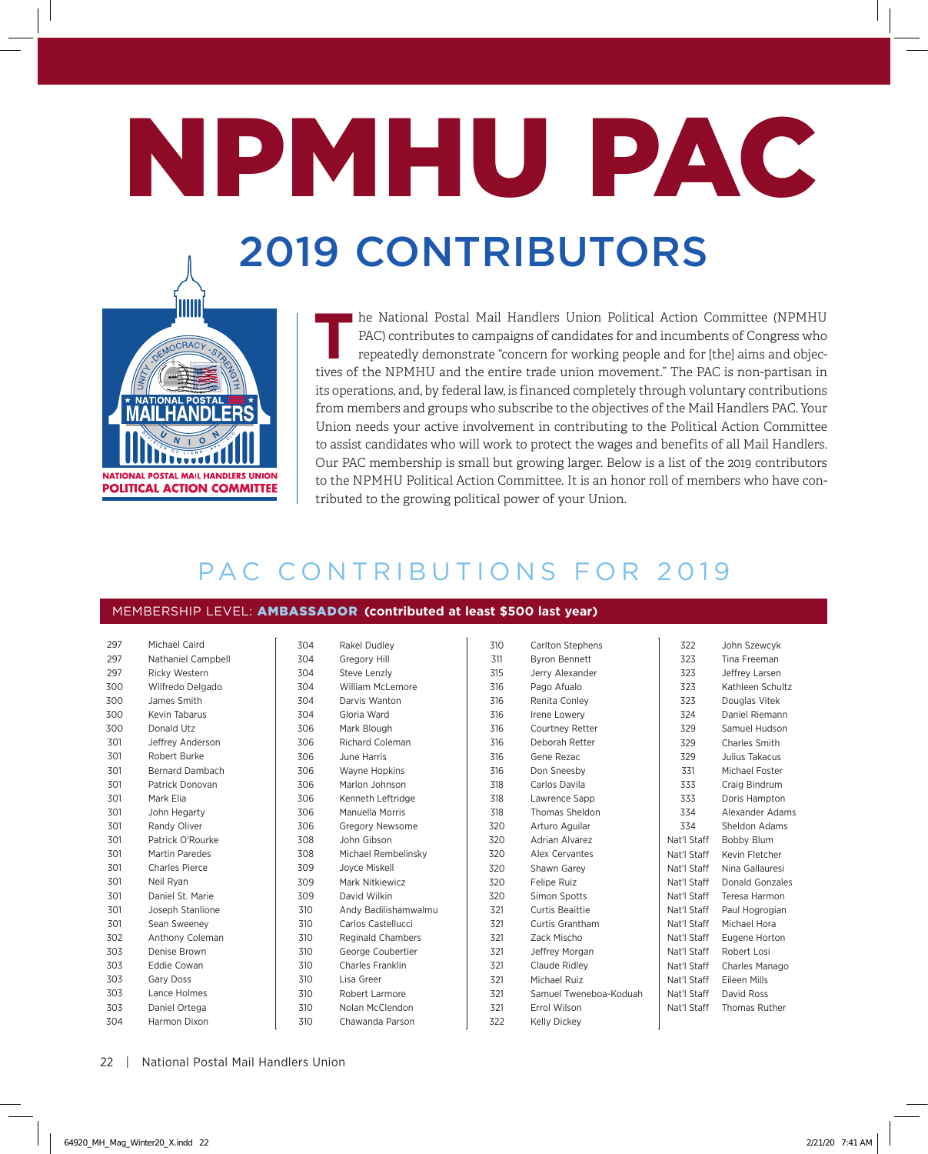# NPMHU PAC 2019 CONTRIBUTORS



The National Postal Mail Handlers Union Political Action Committee (NPMHU<br>PAC) contributes to campaigns of candidates for and incumbents of Congress who<br>repeatedly demonstrate "concern for working people and for [the] aims PAC) contributes to campaigns of candidates for and incumbents of Congress who repeatedly demonstrate "concern for working people and for [the] aims and objectives of the NPMHU and the entire trade union movement." The PAC is non-partisan in its operations, and, by federal law, is financed completely through voluntary contributions from members and groups who subscribe to the objectives of the Mail Handlers PAC. Your Union needs your active involvement in contributing to the Political Action Committee to assist candidates who will work to protect the wages and benefits of all Mail Handlers. Our PAC membership is small but growing larger. Below is a list of the 2019 contributors to the NPMHU Political Action Committee. It is an honor roll of members who have contributed to the growing political power of your Union.

## PAC CONTRIBUTIONS FOR 2019

#### MEMBERSHIP LEVEL: AMBASSADOR (contributed at least \$500 last year)

| 297 | Michael Caird        |
|-----|----------------------|
| 297 | Nathaniel Campbell   |
| 297 | <b>Ricky Western</b> |
| 300 | Wilfredo Delgado     |
| 300 | James Smith          |
| 300 | Kevin Tabarus        |
| 300 | Donald Utz           |
| 301 | Jeffrey Anderson     |
| 301 | Robert Burke         |
| 301 | Bernard Dambach      |
| 301 | Patrick Donovan      |
| 301 | Mark Elia            |
| 301 | John Hegarty         |
| 301 | Randy Oliver         |
| 301 | Patrick O'Rourke     |
| 301 | Martin Paredes       |
| 301 | Charles Pierce       |
| 301 | Neil Ryan            |
| 301 | Daniel St. Marie     |
| 301 | Joseph Stanlione     |
| 301 | Sean Sweeney         |
| 302 | Anthony Coleman      |
| 303 | Denise Brown         |
| 303 | <b>Eddie Cowan</b>   |
| 303 | Gary Doss            |
| 303 | Lance Holmes         |
| 303 | Daniel Ortega        |
| 304 | Harmon Dixon         |

| 304 | Rakel Dudley             |
|-----|--------------------------|
| 304 | <b>Gregory Hill</b>      |
| 304 | Steve Lenzly             |
| 304 | <b>William McLemore</b>  |
| 304 | Darvis Wanton            |
| 304 | Gloria Ward              |
| 306 | Mark Blough              |
| 306 | <b>Richard Coleman</b>   |
| 306 | June Harris              |
| 306 | <b>Wayne Hopkins</b>     |
| 306 | Marlon Johnson           |
| 306 | Kenneth Leftridge        |
| 306 | Manuella Morris          |
| 306 | <b>Gregory Newsome</b>   |
| 308 | John Gibson              |
| 308 | Michael Rembelinsky      |
| 309 | Jovce Miskell            |
| 309 | Mark Nitkiewicz          |
| 309 | David Wilkin             |
| 310 | Andy Badilishamwalmu     |
| 310 | Carlos Castellucci       |
| 310 | <b>Reginald Chambers</b> |
| 310 | George Coubertier        |
| 310 | Charles Franklin         |
| 310 | Lisa Greer               |
| 310 | Robert Larmore           |
| 310 | Nolan McClendon          |
| 310 | Chawanda Parson          |

| 310 | <b>Carlton Stephens</b> |
|-----|-------------------------|
| 311 | <b>Byron Bennett</b>    |
| 315 | Jerry Alexander         |
| 316 | Pago Afualo             |
| 316 | Renita Conley           |
| 316 | Irene Lowery            |
| 316 | <b>Courtney Retter</b>  |
| 316 | Deborah Retter          |
| 316 | Gene Rezac              |
| 316 | Don Sneesby             |
| 318 | Carlos Davila           |
| 318 | Lawrence Sapp           |
| 318 | <b>Thomas Sheldon</b>   |
| 320 | Arturo Aquilar          |
| 320 | <b>Adrian Alvarez</b>   |
| 320 | Alex Cervantes          |
| 320 | Shawn Garey             |
| 320 | Felipe Ruiz             |
| 320 | Simon Spotts            |
| 321 | Curtis Beaittie         |
| 321 | Curtis Grantham         |
| 321 | Zack Mischo             |
| 321 | Jeffrey Morgan          |
| 321 | Claude Ridlev           |
| 321 | Michael Ruiz            |
| 321 | Samuel Tweneboa-Koduah  |
| 321 | <b>Errol Wilson</b>     |
| 322 | Kelly Dickey            |

| 322         | John Szewcyk         |
|-------------|----------------------|
| 323         | Tina Freeman         |
| 323         | Jeffrey Larsen       |
| 323         | Kathleen Schultz     |
| 323         | Douglas Vitek        |
| 324         | Daniel Riemann       |
| 329         | Samuel Hudson        |
| 329         | Charles Smith        |
| 329         | Julius Takacus       |
| 331         | Michael Foster       |
| 333         | Craig Bindrum        |
| 333         | Doris Hampton        |
| 334         | Alexander Adams      |
| 334         | Sheldon Adams        |
| Nat'l Staff | <b>Bobby Blum</b>    |
| Nat'l Staff | Kevin Fletcher       |
| Nat'l Staff | Nina Gallauresi      |
| Nat'l Staff | Donald Gonzales      |
| Nat'l Staff | Teresa Harmon        |
| Nat'l Staff | Paul Hogrogian       |
| Nat'l Staff | Michael Hora         |
| Nat'l Staff | Eugene Horton        |
| Nat'l Staff | Robert Losi          |
| Nat'l Staff | Charles Manago       |
| Nat'l Staff | Eileen Mills         |
| Nat'l Staff | David Ross           |
| Nat'l Staff | <b>Thomas Ruther</b> |

22 | National Postal Mail Handlers Union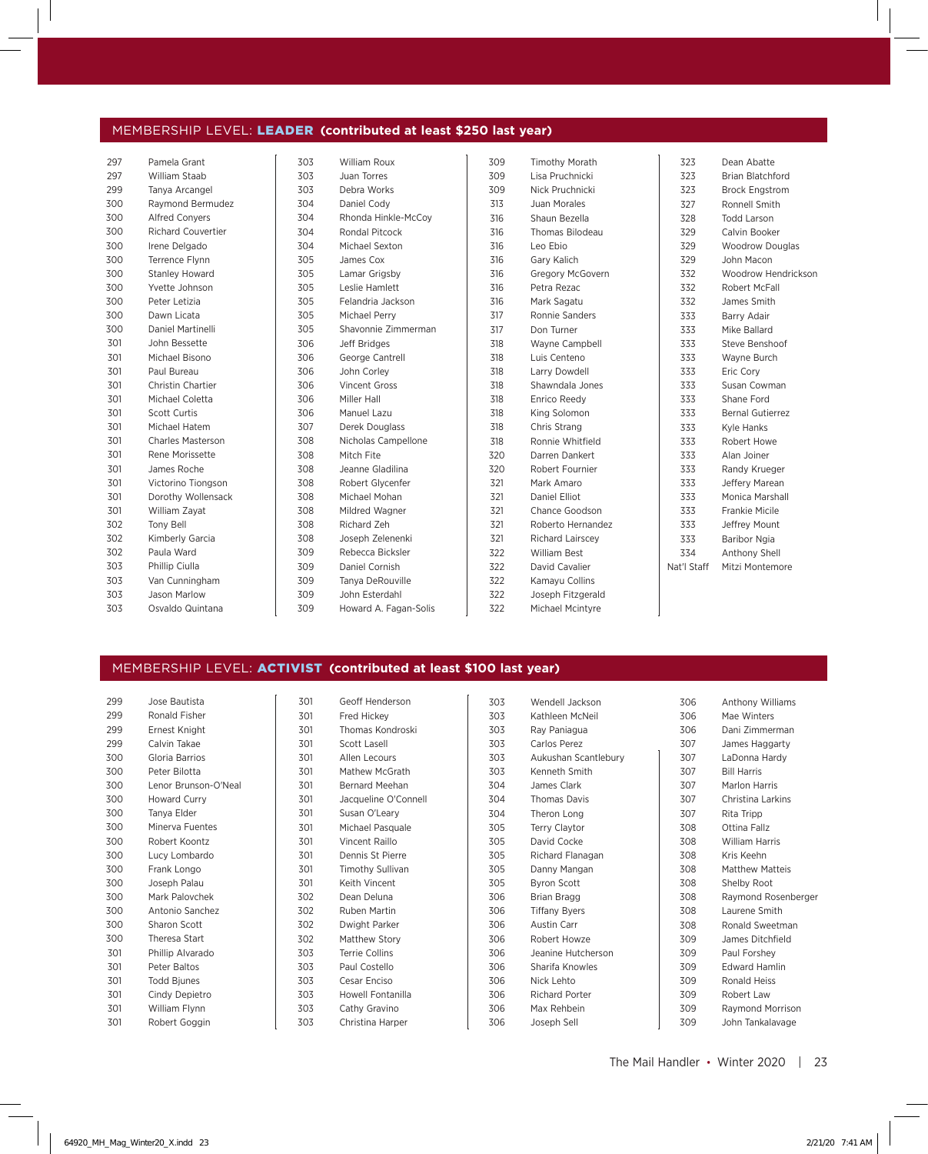#### MEMBERSHIP LEVEL: LEADER (contributed at least \$250 last year)

| 297 | Pamela Grant              | 303 | William Roux          | 309 | <b>Timothy Morath</b>   | 323         | Dean Abatte             |
|-----|---------------------------|-----|-----------------------|-----|-------------------------|-------------|-------------------------|
| 297 | William Staab             | 303 | Juan Torres           | 309 | Lisa Pruchnicki         | 323         | <b>Brian Blatchford</b> |
| 299 | Tanya Arcangel            | 303 | Debra Works           | 309 | Nick Pruchnicki         | 323         | <b>Brock Engstrom</b>   |
| 300 | Raymond Bermudez          | 304 | Daniel Cody           | 313 | Juan Morales            | 327         | Ronnell Smith           |
| 300 | <b>Alfred Convers</b>     | 304 | Rhonda Hinkle-McCoy   | 316 | Shaun Bezella           | 328         | <b>Todd Larson</b>      |
| 300 | <b>Richard Couvertier</b> | 304 | <b>Rondal Pitcock</b> | 316 | Thomas Bilodeau         | 329         | Calvin Booker           |
| 300 | Irene Delgado             | 304 | Michael Sexton        | 316 | Leo Ebio                | 329         | <b>Woodrow Douglas</b>  |
| 300 | Terrence Flynn            | 305 | James Cox             | 316 | Gary Kalich             | 329         | John Macon              |
| 300 | Stanley Howard            | 305 | Lamar Grigsby         | 316 | Gregory McGovern        | 332         | Woodrow Hendrickson     |
| 300 | Yvette Johnson            | 305 | Leslie Hamlett        | 316 | Petra Rezac             | 332         | Robert McFall           |
| 300 | Peter Letizia             | 305 | Felandria Jackson     | 316 | Mark Sagatu             | 332         | James Smith             |
| 300 | Dawn Licata               | 305 | Michael Perry         | 317 | Ronnie Sanders          | 333         | Barry Adair             |
| 300 | Daniel Martinelli         | 305 | Shavonnie Zimmerman   | 317 | Don Turner              | 333         | Mike Ballard            |
| 301 | John Bessette             | 306 | Jeff Bridges          | 318 | Wayne Campbell          | 333         | Steve Benshoof          |
| 301 | Michael Bisono            | 306 | George Cantrell       | 318 | Luis Centeno            | 333         | Wayne Burch             |
| 301 | Paul Bureau               | 306 | John Corley           | 318 | Larry Dowdell           | 333         | Eric Cory               |
| 301 | Christin Chartier         | 306 | Vincent Gross         | 318 | Shawndala Jones         | 333         | Susan Cowman            |
| 301 | Michael Coletta           | 306 | Miller Hall           | 318 | Enrico Reedy            | 333         | Shane Ford              |
| 301 | Scott Curtis              | 306 | Manuel Lazu           | 318 | King Solomon            | 333         | <b>Bernal Gutierrez</b> |
| 301 | Michael Hatem             | 307 | Derek Douglass        | 318 | Chris Strang            | 333         | Kyle Hanks              |
| 301 | <b>Charles Masterson</b>  | 308 | Nicholas Campellone   | 318 | Ronnie Whitfield        | 333         | Robert Howe             |
| 301 | Rene Morissette           | 308 | Mitch Fite            | 320 | Darren Dankert          | 333         | Alan Joiner             |
| 301 | James Roche               | 308 | Jeanne Gladilina      | 320 | Robert Fournier         | 333         | Randy Krueger           |
| 301 | Victorino Tiongson        | 308 | Robert Glycenfer      | 321 | Mark Amaro              | 333         | Jeffery Marean          |
| 301 | Dorothy Wollensack        | 308 | Michael Mohan         | 321 | Daniel Elliot           | 333         | Monica Marshall         |
| 301 | William Zayat             | 308 | Mildred Wagner        | 321 | Chance Goodson          | 333         | <b>Frankie Micile</b>   |
| 302 | Tony Bell                 | 308 | Richard Zeh           | 321 | Roberto Hernandez       | 333         | Jeffrey Mount           |
| 302 | Kimberly Garcia           | 308 | Joseph Zelenenki      | 321 | <b>Richard Lairscey</b> | 333         | Baribor Ngia            |
| 302 | Paula Ward                | 309 | Rebecca Bicksler      | 322 | <b>William Best</b>     | 334         | Anthony Shell           |
| 303 | Phillip Ciulla            | 309 | Daniel Cornish        | 322 | David Cavalier          | Nat'l Staff | Mitzi Montemore         |
| 303 | Van Cunningham            | 309 | Tanva DeRouville      | 322 | Kamayu Collins          |             |                         |
| 303 | Jason Marlow              | 309 | John Esterdahl        | 322 | Joseph Fitzgerald       |             |                         |
| 303 | Osvaldo Quintana          | 309 | Howard A. Fagan-Solis | 322 | Michael Mcintyre        |             |                         |

#### MEMBERSHIP LEVEL: ACTIVIST (contributed at least \$100 last year)

| 299 | Jose Bautista        |
|-----|----------------------|
| 299 | Ronald Fisher        |
| 299 | Ernest Knight        |
| 299 | Calvin Takae         |
| 300 | Gloria Barrios       |
| 300 | Peter Bilotta        |
| 300 | Lenor Brunson-O'Neal |
| 300 | <b>Howard Curry</b>  |
| 300 | Tanya Elder          |
| 300 | Minerva Fuentes      |
| 300 | Robert Koontz        |
| 300 | Lucy Lombardo        |
| 300 | Frank Longo          |
| 300 | Joseph Palau         |
| 300 | Mark Palovchek       |
| 300 | Antonio Sanchez      |
| 300 | Sharon Scott         |
| 300 | Theresa Start        |
| 301 | Phillip Alvarado     |
| 301 | Peter Baltos         |
| 301 | <b>Todd Bjunes</b>   |
| 301 | Cindy Depietro       |
| 301 | William Flynn        |
| 301 | Robert Goggin        |
|     |                      |

| 301 | Geoff Henderson         |
|-----|-------------------------|
| 301 | Fred Hickey             |
| 301 | Thomas Kondroski        |
| 301 | <b>Scott Lasell</b>     |
| 301 | Allen Lecours           |
| 301 | Mathew McGrath          |
| 301 | Bernard Meehan          |
| 301 | Jacqueline O'Connell    |
| 301 | Susan O'Leary           |
| 301 | Michael Pasquale        |
| 301 | Vincent Raillo          |
| 301 | Dennis St Pierre        |
| 301 | <b>Timothy Sullivan</b> |
| 301 | Keith Vincent           |
| 302 | Dean Deluna             |
| 302 | Ruben Martin            |
| 302 | Dwight Parker           |
| 302 | Matthew Story           |
| 303 | Terrie Collins          |
| 303 | Paul Costello           |
| 303 | Cesar Enciso            |
| 303 | Howell Fontanilla       |
| 303 | Cathy Gravino           |
| 303 | Christina Harper        |

| 303 | Wendell Jackson       |
|-----|-----------------------|
| 303 | Kathleen McNeil       |
| 303 | Ray Paniagua          |
| 303 | Carlos Perez          |
| 303 | Aukushan Scantlebury  |
| 303 | Kenneth Smith         |
| 304 | James Clark           |
| 304 | <b>Thomas Davis</b>   |
| 304 | Theron Long           |
| 305 | <b>Terry Claytor</b>  |
| 305 | David Cocke           |
| 305 | Richard Flanagan      |
| 305 | Danny Mangan          |
| 305 | <b>Byron Scott</b>    |
| 306 | Brian Bragg           |
| 306 | <b>Tiffany Byers</b>  |
| 306 | <b>Austin Carr</b>    |
| 306 | Robert Howze          |
| 306 | Jeanine Hutcherson    |
| 306 | Sharifa Knowles       |
| 306 | Nick Lehto            |
| 306 | <b>Richard Porter</b> |
| 306 | Max Rehhein           |
| 306 | Joseph Sell           |

| 306 | <b>Anthony Williams</b> |
|-----|-------------------------|
| 306 | Mae Winters             |
| 306 | Dani Zimmerman          |
| 307 | James Haggarty          |
| 307 | LaDonna Hardy           |
| 307 | <b>Bill Harris</b>      |
| 307 | Marlon Harris           |
| 307 | Christina Larkins       |
| 307 | Rita Tripp              |
| 308 | Ottina Fallz            |
| 308 | <b>William Harris</b>   |
| 308 | Kris Keehn              |
| 308 | <b>Matthew Matteis</b>  |
| 308 | Shelby Root             |
| 308 | Raymond Rosenberger     |
| 308 | Laurene Smith           |
| 308 | Ronald Sweetman         |
| 309 | James Ditchfield        |
| 309 | Paul Forshey            |
| 309 | <b>Edward Hamlin</b>    |
| 309 | Ronald Heiss            |
| 309 | Robert Law              |
| 309 | Raymond Morrison        |
| 309 | John Tankalavage        |

The Mail Handler • Winter 2020 | 23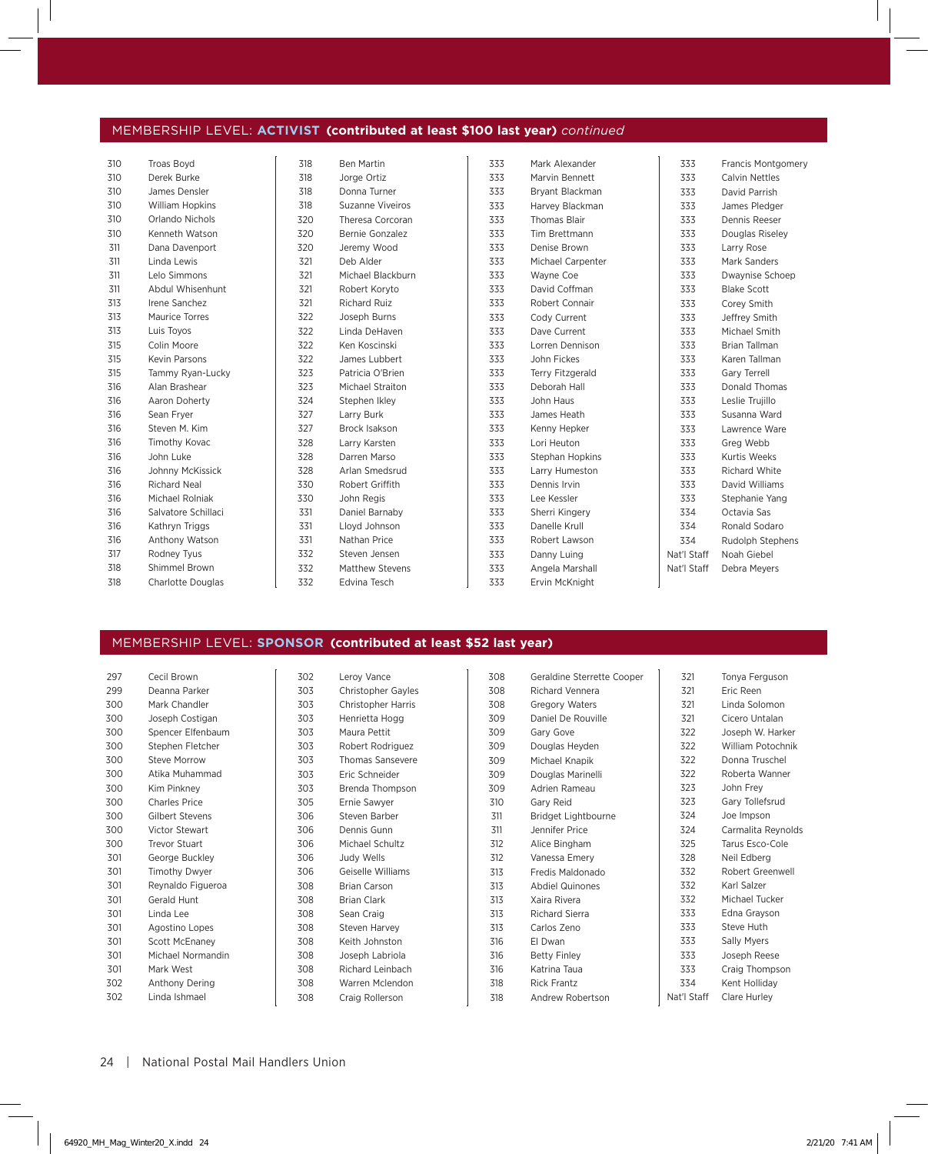### MEMBERSHIP LEVEL: ACTIVIST (contributed at least \$100 last year) *continued*

| Derek Burke<br>Marvin Bennett<br>310<br>318<br>Jorge Ortiz<br>333<br>333<br>Calvin Nettles<br>James Densler<br>310<br>318<br>333<br>Bryant Blackman<br>333<br>David Parrish<br>Donna Turner<br>318<br>Suzanne Viveiros<br>333<br>310<br><b>William Hopkins</b><br>Harvey Blackman<br>333<br>James Pledger<br>333<br>333<br>Dennis Reeser<br>Orlando Nichols<br>320<br>Theresa Corcoran<br><b>Thomas Blair</b><br>310<br>Kenneth Watson<br>310<br>320<br>333<br>Tim Brettmann<br>333<br>Bernie Gonzalez<br>Douglas Riseley<br>333<br>320<br>Denise Brown<br>311<br>Dana Davenport<br>Jeremy Wood<br>333<br>Larry Rose<br>321<br>Deb Alder<br>333<br>333<br>Mark Sanders<br>311<br>Linda Lewis<br>Michael Carpenter<br>Lelo Simmons<br>321<br>333<br>333<br>311<br>Michael Blackburn<br>Wayne Coe<br>Dwaynise Schoep<br>Abdul Whisenhunt<br>321<br>311<br>Robert Koryto<br>333<br>David Coffman<br>333<br><b>Blake Scott</b><br>Irene Sanchez<br>321<br><b>Richard Ruiz</b><br>333<br>Robert Connair<br>333<br>Corey Smith<br>313<br>322<br>Joseph Burns<br>333<br>333<br>313<br>Maurice Torres<br>Cody Current<br>Jeffrey Smith<br>322<br>313<br>Luis Toyos<br>Linda DeHaven<br>Dave Current<br>Michael Smith<br>333<br>333<br>Colin Moore<br>322<br>Ken Koscinski<br>333<br>Lorren Dennison<br>333<br>Brian Tallman<br>315<br><b>Kevin Parsons</b><br>322<br>James Lubbert<br>333<br>John Fickes<br>333<br>Karen Tallman<br>315<br>323<br>Patricia O'Brien<br>315<br>Tammy Ryan-Lucky<br>333<br>333<br>Terry Fitzgerald<br>Gary Terrell<br>333<br>333<br>Alan Brashear<br>323<br><b>Michael Straiton</b><br>Deborah Hall<br>Donald Thomas<br>316<br>Aaron Doherty<br>324<br>333<br>John Haus<br>333<br>Leslie Trujillo<br>316<br>Stephen Ikley<br>Sean Fryer<br>327<br>Larry Burk<br>316<br>333<br>333<br>James Heath<br>Susanna Ward<br>327<br>333<br>Steven M. Kim<br><b>Brock Isakson</b><br>333<br>Kenny Hepker<br>Lawrence Ware<br>316<br>328<br>333<br>Lori Heuton<br>333<br>Greg Webb<br>316<br>Timothy Kovac<br>Larry Karsten<br>316<br>John Luke<br>328<br>Darren Marso<br>333<br>333<br><b>Kurtis Weeks</b><br>Stephan Hopkins<br>328<br>Arlan Smedsrud<br>333<br>333<br><b>Richard White</b><br>316<br>Johnny McKissick<br>Larry Humeston<br>Richard Neal<br>330<br>Robert Griffith<br>333<br>Dennis Irvin<br>333<br>David Williams<br>316<br>Michael Rolniak<br>330<br>John Regis<br>316<br>333<br>Lee Kessler<br>333<br>Stephanie Yang<br>Salvatore Schillaci<br>331<br>Daniel Barnaby<br>333<br>Sherri Kingery<br>334<br>Octavia Sas<br>316<br>331<br>Lloyd Johnson<br>333<br>Danelle Krull<br>334<br>Ronald Sodaro<br>316<br>Kathryn Triggs<br>331<br>Nathan Price<br>316<br>Anthony Watson<br>333<br>334<br>Robert Lawson<br>Rudolph Stephens<br>317<br>Rodney Tyus<br>332<br>Steven Jensen<br>333<br>Danny Luing<br>Nat'l Staff<br>Noah Giebel<br>Shimmel Brown<br>332<br>333<br>Nat'l Staff<br>318<br><b>Matthew Stevens</b><br>Angela Marshall<br>Debra Meyers<br>318<br>Charlotte Douglas<br>332<br>333<br>Edvina Tesch<br>Ervin McKnight | 310 | Troas Boyd | 318 | Ben Martin | 333 | Mark Alexander | 333 | <b>Francis Montgomery</b> |
|---------------------------------------------------------------------------------------------------------------------------------------------------------------------------------------------------------------------------------------------------------------------------------------------------------------------------------------------------------------------------------------------------------------------------------------------------------------------------------------------------------------------------------------------------------------------------------------------------------------------------------------------------------------------------------------------------------------------------------------------------------------------------------------------------------------------------------------------------------------------------------------------------------------------------------------------------------------------------------------------------------------------------------------------------------------------------------------------------------------------------------------------------------------------------------------------------------------------------------------------------------------------------------------------------------------------------------------------------------------------------------------------------------------------------------------------------------------------------------------------------------------------------------------------------------------------------------------------------------------------------------------------------------------------------------------------------------------------------------------------------------------------------------------------------------------------------------------------------------------------------------------------------------------------------------------------------------------------------------------------------------------------------------------------------------------------------------------------------------------------------------------------------------------------------------------------------------------------------------------------------------------------------------------------------------------------------------------------------------------------------------------------------------------------------------------------------------------------------------------------------------------------------------------------------------------------------------------------------------------------------------------------------------------------------------------------------------------------------------------------------------------------------------------------------------------------------------------------------------------------------------------------------------------------------------------------------------------------------------------------------------------------------------------------------------------|-----|------------|-----|------------|-----|----------------|-----|---------------------------|
|                                                                                                                                                                                                                                                                                                                                                                                                                                                                                                                                                                                                                                                                                                                                                                                                                                                                                                                                                                                                                                                                                                                                                                                                                                                                                                                                                                                                                                                                                                                                                                                                                                                                                                                                                                                                                                                                                                                                                                                                                                                                                                                                                                                                                                                                                                                                                                                                                                                                                                                                                                                                                                                                                                                                                                                                                                                                                                                                                                                                                                                               |     |            |     |            |     |                |     |                           |
|                                                                                                                                                                                                                                                                                                                                                                                                                                                                                                                                                                                                                                                                                                                                                                                                                                                                                                                                                                                                                                                                                                                                                                                                                                                                                                                                                                                                                                                                                                                                                                                                                                                                                                                                                                                                                                                                                                                                                                                                                                                                                                                                                                                                                                                                                                                                                                                                                                                                                                                                                                                                                                                                                                                                                                                                                                                                                                                                                                                                                                                               |     |            |     |            |     |                |     |                           |
|                                                                                                                                                                                                                                                                                                                                                                                                                                                                                                                                                                                                                                                                                                                                                                                                                                                                                                                                                                                                                                                                                                                                                                                                                                                                                                                                                                                                                                                                                                                                                                                                                                                                                                                                                                                                                                                                                                                                                                                                                                                                                                                                                                                                                                                                                                                                                                                                                                                                                                                                                                                                                                                                                                                                                                                                                                                                                                                                                                                                                                                               |     |            |     |            |     |                |     |                           |
|                                                                                                                                                                                                                                                                                                                                                                                                                                                                                                                                                                                                                                                                                                                                                                                                                                                                                                                                                                                                                                                                                                                                                                                                                                                                                                                                                                                                                                                                                                                                                                                                                                                                                                                                                                                                                                                                                                                                                                                                                                                                                                                                                                                                                                                                                                                                                                                                                                                                                                                                                                                                                                                                                                                                                                                                                                                                                                                                                                                                                                                               |     |            |     |            |     |                |     |                           |
|                                                                                                                                                                                                                                                                                                                                                                                                                                                                                                                                                                                                                                                                                                                                                                                                                                                                                                                                                                                                                                                                                                                                                                                                                                                                                                                                                                                                                                                                                                                                                                                                                                                                                                                                                                                                                                                                                                                                                                                                                                                                                                                                                                                                                                                                                                                                                                                                                                                                                                                                                                                                                                                                                                                                                                                                                                                                                                                                                                                                                                                               |     |            |     |            |     |                |     |                           |
|                                                                                                                                                                                                                                                                                                                                                                                                                                                                                                                                                                                                                                                                                                                                                                                                                                                                                                                                                                                                                                                                                                                                                                                                                                                                                                                                                                                                                                                                                                                                                                                                                                                                                                                                                                                                                                                                                                                                                                                                                                                                                                                                                                                                                                                                                                                                                                                                                                                                                                                                                                                                                                                                                                                                                                                                                                                                                                                                                                                                                                                               |     |            |     |            |     |                |     |                           |
|                                                                                                                                                                                                                                                                                                                                                                                                                                                                                                                                                                                                                                                                                                                                                                                                                                                                                                                                                                                                                                                                                                                                                                                                                                                                                                                                                                                                                                                                                                                                                                                                                                                                                                                                                                                                                                                                                                                                                                                                                                                                                                                                                                                                                                                                                                                                                                                                                                                                                                                                                                                                                                                                                                                                                                                                                                                                                                                                                                                                                                                               |     |            |     |            |     |                |     |                           |
|                                                                                                                                                                                                                                                                                                                                                                                                                                                                                                                                                                                                                                                                                                                                                                                                                                                                                                                                                                                                                                                                                                                                                                                                                                                                                                                                                                                                                                                                                                                                                                                                                                                                                                                                                                                                                                                                                                                                                                                                                                                                                                                                                                                                                                                                                                                                                                                                                                                                                                                                                                                                                                                                                                                                                                                                                                                                                                                                                                                                                                                               |     |            |     |            |     |                |     |                           |
|                                                                                                                                                                                                                                                                                                                                                                                                                                                                                                                                                                                                                                                                                                                                                                                                                                                                                                                                                                                                                                                                                                                                                                                                                                                                                                                                                                                                                                                                                                                                                                                                                                                                                                                                                                                                                                                                                                                                                                                                                                                                                                                                                                                                                                                                                                                                                                                                                                                                                                                                                                                                                                                                                                                                                                                                                                                                                                                                                                                                                                                               |     |            |     |            |     |                |     |                           |
|                                                                                                                                                                                                                                                                                                                                                                                                                                                                                                                                                                                                                                                                                                                                                                                                                                                                                                                                                                                                                                                                                                                                                                                                                                                                                                                                                                                                                                                                                                                                                                                                                                                                                                                                                                                                                                                                                                                                                                                                                                                                                                                                                                                                                                                                                                                                                                                                                                                                                                                                                                                                                                                                                                                                                                                                                                                                                                                                                                                                                                                               |     |            |     |            |     |                |     |                           |
|                                                                                                                                                                                                                                                                                                                                                                                                                                                                                                                                                                                                                                                                                                                                                                                                                                                                                                                                                                                                                                                                                                                                                                                                                                                                                                                                                                                                                                                                                                                                                                                                                                                                                                                                                                                                                                                                                                                                                                                                                                                                                                                                                                                                                                                                                                                                                                                                                                                                                                                                                                                                                                                                                                                                                                                                                                                                                                                                                                                                                                                               |     |            |     |            |     |                |     |                           |
|                                                                                                                                                                                                                                                                                                                                                                                                                                                                                                                                                                                                                                                                                                                                                                                                                                                                                                                                                                                                                                                                                                                                                                                                                                                                                                                                                                                                                                                                                                                                                                                                                                                                                                                                                                                                                                                                                                                                                                                                                                                                                                                                                                                                                                                                                                                                                                                                                                                                                                                                                                                                                                                                                                                                                                                                                                                                                                                                                                                                                                                               |     |            |     |            |     |                |     |                           |
|                                                                                                                                                                                                                                                                                                                                                                                                                                                                                                                                                                                                                                                                                                                                                                                                                                                                                                                                                                                                                                                                                                                                                                                                                                                                                                                                                                                                                                                                                                                                                                                                                                                                                                                                                                                                                                                                                                                                                                                                                                                                                                                                                                                                                                                                                                                                                                                                                                                                                                                                                                                                                                                                                                                                                                                                                                                                                                                                                                                                                                                               |     |            |     |            |     |                |     |                           |
|                                                                                                                                                                                                                                                                                                                                                                                                                                                                                                                                                                                                                                                                                                                                                                                                                                                                                                                                                                                                                                                                                                                                                                                                                                                                                                                                                                                                                                                                                                                                                                                                                                                                                                                                                                                                                                                                                                                                                                                                                                                                                                                                                                                                                                                                                                                                                                                                                                                                                                                                                                                                                                                                                                                                                                                                                                                                                                                                                                                                                                                               |     |            |     |            |     |                |     |                           |
|                                                                                                                                                                                                                                                                                                                                                                                                                                                                                                                                                                                                                                                                                                                                                                                                                                                                                                                                                                                                                                                                                                                                                                                                                                                                                                                                                                                                                                                                                                                                                                                                                                                                                                                                                                                                                                                                                                                                                                                                                                                                                                                                                                                                                                                                                                                                                                                                                                                                                                                                                                                                                                                                                                                                                                                                                                                                                                                                                                                                                                                               |     |            |     |            |     |                |     |                           |
|                                                                                                                                                                                                                                                                                                                                                                                                                                                                                                                                                                                                                                                                                                                                                                                                                                                                                                                                                                                                                                                                                                                                                                                                                                                                                                                                                                                                                                                                                                                                                                                                                                                                                                                                                                                                                                                                                                                                                                                                                                                                                                                                                                                                                                                                                                                                                                                                                                                                                                                                                                                                                                                                                                                                                                                                                                                                                                                                                                                                                                                               |     |            |     |            |     |                |     |                           |
|                                                                                                                                                                                                                                                                                                                                                                                                                                                                                                                                                                                                                                                                                                                                                                                                                                                                                                                                                                                                                                                                                                                                                                                                                                                                                                                                                                                                                                                                                                                                                                                                                                                                                                                                                                                                                                                                                                                                                                                                                                                                                                                                                                                                                                                                                                                                                                                                                                                                                                                                                                                                                                                                                                                                                                                                                                                                                                                                                                                                                                                               |     |            |     |            |     |                |     |                           |
|                                                                                                                                                                                                                                                                                                                                                                                                                                                                                                                                                                                                                                                                                                                                                                                                                                                                                                                                                                                                                                                                                                                                                                                                                                                                                                                                                                                                                                                                                                                                                                                                                                                                                                                                                                                                                                                                                                                                                                                                                                                                                                                                                                                                                                                                                                                                                                                                                                                                                                                                                                                                                                                                                                                                                                                                                                                                                                                                                                                                                                                               |     |            |     |            |     |                |     |                           |
|                                                                                                                                                                                                                                                                                                                                                                                                                                                                                                                                                                                                                                                                                                                                                                                                                                                                                                                                                                                                                                                                                                                                                                                                                                                                                                                                                                                                                                                                                                                                                                                                                                                                                                                                                                                                                                                                                                                                                                                                                                                                                                                                                                                                                                                                                                                                                                                                                                                                                                                                                                                                                                                                                                                                                                                                                                                                                                                                                                                                                                                               |     |            |     |            |     |                |     |                           |
|                                                                                                                                                                                                                                                                                                                                                                                                                                                                                                                                                                                                                                                                                                                                                                                                                                                                                                                                                                                                                                                                                                                                                                                                                                                                                                                                                                                                                                                                                                                                                                                                                                                                                                                                                                                                                                                                                                                                                                                                                                                                                                                                                                                                                                                                                                                                                                                                                                                                                                                                                                                                                                                                                                                                                                                                                                                                                                                                                                                                                                                               |     |            |     |            |     |                |     |                           |
|                                                                                                                                                                                                                                                                                                                                                                                                                                                                                                                                                                                                                                                                                                                                                                                                                                                                                                                                                                                                                                                                                                                                                                                                                                                                                                                                                                                                                                                                                                                                                                                                                                                                                                                                                                                                                                                                                                                                                                                                                                                                                                                                                                                                                                                                                                                                                                                                                                                                                                                                                                                                                                                                                                                                                                                                                                                                                                                                                                                                                                                               |     |            |     |            |     |                |     |                           |
|                                                                                                                                                                                                                                                                                                                                                                                                                                                                                                                                                                                                                                                                                                                                                                                                                                                                                                                                                                                                                                                                                                                                                                                                                                                                                                                                                                                                                                                                                                                                                                                                                                                                                                                                                                                                                                                                                                                                                                                                                                                                                                                                                                                                                                                                                                                                                                                                                                                                                                                                                                                                                                                                                                                                                                                                                                                                                                                                                                                                                                                               |     |            |     |            |     |                |     |                           |
|                                                                                                                                                                                                                                                                                                                                                                                                                                                                                                                                                                                                                                                                                                                                                                                                                                                                                                                                                                                                                                                                                                                                                                                                                                                                                                                                                                                                                                                                                                                                                                                                                                                                                                                                                                                                                                                                                                                                                                                                                                                                                                                                                                                                                                                                                                                                                                                                                                                                                                                                                                                                                                                                                                                                                                                                                                                                                                                                                                                                                                                               |     |            |     |            |     |                |     |                           |
|                                                                                                                                                                                                                                                                                                                                                                                                                                                                                                                                                                                                                                                                                                                                                                                                                                                                                                                                                                                                                                                                                                                                                                                                                                                                                                                                                                                                                                                                                                                                                                                                                                                                                                                                                                                                                                                                                                                                                                                                                                                                                                                                                                                                                                                                                                                                                                                                                                                                                                                                                                                                                                                                                                                                                                                                                                                                                                                                                                                                                                                               |     |            |     |            |     |                |     |                           |
|                                                                                                                                                                                                                                                                                                                                                                                                                                                                                                                                                                                                                                                                                                                                                                                                                                                                                                                                                                                                                                                                                                                                                                                                                                                                                                                                                                                                                                                                                                                                                                                                                                                                                                                                                                                                                                                                                                                                                                                                                                                                                                                                                                                                                                                                                                                                                                                                                                                                                                                                                                                                                                                                                                                                                                                                                                                                                                                                                                                                                                                               |     |            |     |            |     |                |     |                           |
|                                                                                                                                                                                                                                                                                                                                                                                                                                                                                                                                                                                                                                                                                                                                                                                                                                                                                                                                                                                                                                                                                                                                                                                                                                                                                                                                                                                                                                                                                                                                                                                                                                                                                                                                                                                                                                                                                                                                                                                                                                                                                                                                                                                                                                                                                                                                                                                                                                                                                                                                                                                                                                                                                                                                                                                                                                                                                                                                                                                                                                                               |     |            |     |            |     |                |     |                           |
|                                                                                                                                                                                                                                                                                                                                                                                                                                                                                                                                                                                                                                                                                                                                                                                                                                                                                                                                                                                                                                                                                                                                                                                                                                                                                                                                                                                                                                                                                                                                                                                                                                                                                                                                                                                                                                                                                                                                                                                                                                                                                                                                                                                                                                                                                                                                                                                                                                                                                                                                                                                                                                                                                                                                                                                                                                                                                                                                                                                                                                                               |     |            |     |            |     |                |     |                           |
|                                                                                                                                                                                                                                                                                                                                                                                                                                                                                                                                                                                                                                                                                                                                                                                                                                                                                                                                                                                                                                                                                                                                                                                                                                                                                                                                                                                                                                                                                                                                                                                                                                                                                                                                                                                                                                                                                                                                                                                                                                                                                                                                                                                                                                                                                                                                                                                                                                                                                                                                                                                                                                                                                                                                                                                                                                                                                                                                                                                                                                                               |     |            |     |            |     |                |     |                           |
|                                                                                                                                                                                                                                                                                                                                                                                                                                                                                                                                                                                                                                                                                                                                                                                                                                                                                                                                                                                                                                                                                                                                                                                                                                                                                                                                                                                                                                                                                                                                                                                                                                                                                                                                                                                                                                                                                                                                                                                                                                                                                                                                                                                                                                                                                                                                                                                                                                                                                                                                                                                                                                                                                                                                                                                                                                                                                                                                                                                                                                                               |     |            |     |            |     |                |     |                           |
|                                                                                                                                                                                                                                                                                                                                                                                                                                                                                                                                                                                                                                                                                                                                                                                                                                                                                                                                                                                                                                                                                                                                                                                                                                                                                                                                                                                                                                                                                                                                                                                                                                                                                                                                                                                                                                                                                                                                                                                                                                                                                                                                                                                                                                                                                                                                                                                                                                                                                                                                                                                                                                                                                                                                                                                                                                                                                                                                                                                                                                                               |     |            |     |            |     |                |     |                           |

#### MEMBERSHIP LEVEL: SPONSOR (contributed at least \$52 last year)

| 297 | Cecil Brown           | 302 | Leroy Vance               | 308 |
|-----|-----------------------|-----|---------------------------|-----|
| 299 | Deanna Parker         | 303 | <b>Christopher Gayles</b> | 308 |
| 300 | Mark Chandler         | 303 | <b>Christopher Harris</b> | 308 |
| 300 | Joseph Costigan       | 303 | Henrietta Hogg            | 309 |
| 300 | Spencer Elfenbaum     | 303 | Maura Pettit              | 309 |
| 300 | Stephen Fletcher      | 303 | Robert Rodriguez          | 309 |
| 300 | Steve Morrow          | 303 | <b>Thomas Sansevere</b>   | 309 |
| 300 | Atika Muhammad        | 303 | Eric Schneider            | 309 |
| 300 | Kim Pinknev           | 303 | Brenda Thompson           | 309 |
| 300 | Charles Price         | 305 | Ernie Sawver              | 310 |
| 300 | Gilbert Stevens       | 306 | Steven Barber             | 311 |
| 300 | Victor Stewart        | 306 | Dennis Gunn               | 311 |
| 300 | <b>Trevor Stuart</b>  | 306 | Michael Schultz           | 312 |
| 301 | George Buckley        | 306 | Judy Wells                | 312 |
| 301 | <b>Timothy Dwyer</b>  | 306 | Geiselle Williams         | 313 |
| 301 | Reynaldo Figueroa     | 308 | <b>Brian Carson</b>       | 313 |
| 301 | Gerald Hunt           | 308 | <b>Brian Clark</b>        | 313 |
| 301 | Linda Lee             | 308 | Sean Craig                | 313 |
| 301 | Agostino Lopes        | 308 | Steven Harvey             | 313 |
| 301 | <b>Scott McEnanev</b> | 308 | Keith Johnston            | 316 |
| 301 | Michael Normandin     | 308 | Joseph Labriola           | 316 |
| 301 | Mark West             | 308 | Richard Leinbach          | 316 |
| 302 | Anthony Dering        | 308 | Warren Mclendon           | 318 |
| 302 | Linda Ishmael         | 308 | Craig Rollerson           | 318 |

| 308 | Geraldine Sterrette Cooper | 321         | Tonya Fergu         |
|-----|----------------------------|-------------|---------------------|
| 308 | Richard Vennera            | 321         | Eric Reen           |
| 308 | <b>Gregory Waters</b>      | 321         | Linda Solom         |
| 309 | Daniel De Rouville         | 321         | Cicero Untal        |
| 309 | Gary Gove                  | 322         | Joseph W. H         |
| 309 | Douglas Heyden             | 322         | <b>William Poto</b> |
| 309 | Michael Knapik             | 322         | Donna Truso         |
| 309 | Douglas Marinelli          | 322         | Roberta Wa          |
| 309 | Adrien Rameau              | 323         | John Frey           |
| 310 | Gary Reid                  | 323         | Gary Tollefsı       |
| 311 | Bridget Lightbourne        | 324         | Joe Impson          |
| 311 | Jennifer Price             | 324         | Carmalita Re        |
| 312 | Alice Bingham              | 325         | Tarus Esco-0        |
| 312 | Vanessa Emery              | 328         | Neil Edberg         |
| 313 | Fredis Maldonado           | 332         | <b>Robert Gree</b>  |
| 313 | <b>Abdiel Quinones</b>     | 332         | Karl Salzer         |
| 313 | Xaira Rivera               | 332         | Michael Tucl        |
| 313 | <b>Richard Sierra</b>      | 333         | Edna Grayso         |
| 313 | Carlos Zeno                | 333         | Steve Huth          |
| 316 | El Dwan                    | 333         | Sally Myers         |
| 316 | <b>Betty Finley</b>        | 333         | Joseph Rees         |
| 316 | Katrina Taua               | 333         | Craig Thomp         |
| 318 | <b>Rick Frantz</b>         | 334         | Kent Hollida        |
| 318 | Andrew Robertson           | Nat'l Staff | Clare Hurley        |
|     |                            |             |                     |

| 321 | Tonya Ferguson     |
|-----|--------------------|
| 321 | Eric Reen          |
| 321 | Linda Solomon      |
| 321 | Cicero Untalan     |
| 322 | Joseph W. Harker   |
| 322 | William Potochnik  |
| 322 | Donna Truschel     |
| 322 | Roberta Wanner     |
| 323 | John Frey          |
| 323 | Gary Tollefsrud    |
| 324 | Joe Impson         |
| 324 | Carmalita Reynolds |
| 325 | Tarus Esco-Cole    |
| 328 | Neil Edberg        |
| 332 | Robert Greenwell   |
| 332 | Karl Salzer        |
| 332 | Michael Tucker     |
| 333 | Edna Grayson       |
| 333 | Steve Huth         |
| 333 | <b>Sally Myers</b> |
| 333 | Joseph Reese       |
| 333 | Craig Thompson     |
| 334 | Kent Hollidav      |
|     |                    |